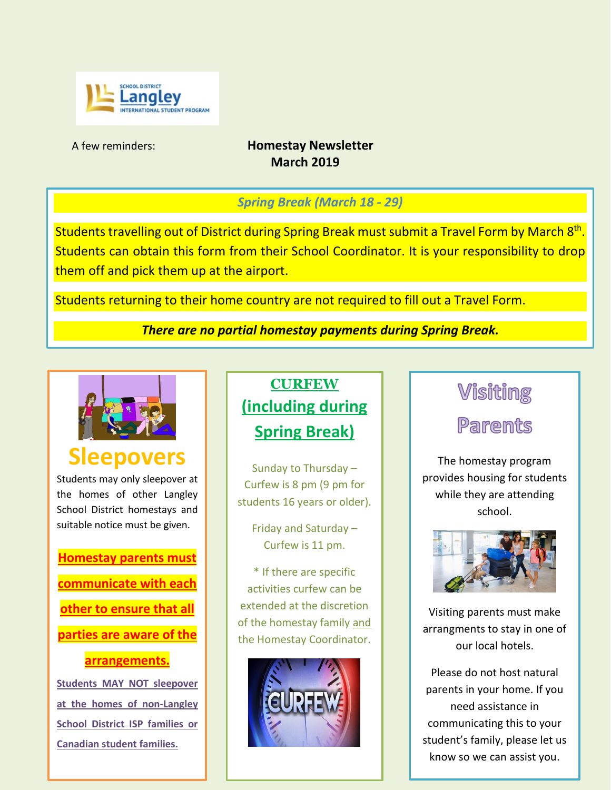

#### A few reminders: **Homestay Newsletter March 2019**

### *Spring Break (March 18 - 29)*

Students travelling out of District during Spring Break must submit a Travel Form by March 8<sup>th</sup>. Students can obtain this form from their School Coordinator. It is your responsibility to drop them off and pick them up at the airport.

Students returning to their home country are not required to fill out a Travel Form.

*There are no partial homestay payments during Spring Break.*



# **Repovers**

Students may only sleepover at the homes of other Langley School District homestays and suitable notice must be given.

**Homestay parents must communicate with each other to ensure that all parties are aware of the** 

#### **arrangements.**

**Students MAY NOT sleepover at the homes of non-Langley School District ISP families or Canadian student families.**

## **CURFEW (including during Spring Break)**

Sunday to Thursday – Curfew is 8 pm (9 pm for students 16 years or older).

> Friday and Saturday – Curfew is 11 pm.

\* If there are specific activities curfew can be extended at the discretion of the homestay family and the Homestay Coordinator.



### **Visiting**

## **Parents**

The homestay program provides housing for students while they are attending school.



Visiting parents must make arrangments to stay in one of our local hotels.

Please do not host natural parents in your home. If you need assistance in communicating this to your student's family, please let us know so we can assist you.

Thank you for your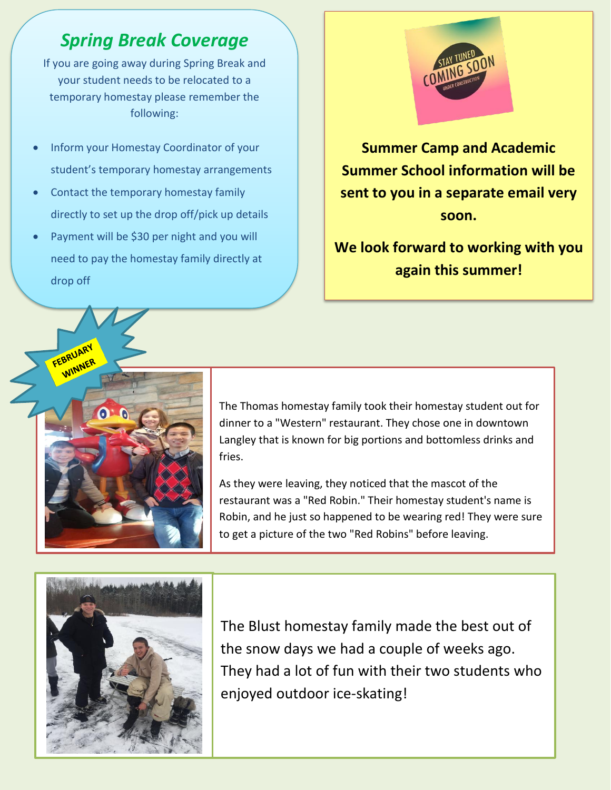### *Spring Break Coverage*

If you are going away during Spring Break and your student needs to be relocated to a temporary homestay please remember the following:

- Inform your Homestay Coordinator of your student's temporary homestay arrangements
- Contact the temporary homestay family directly to set up the drop off/pick up details
- Payment will be \$30 per night and you will need to pay the homestay family directly at drop off



**Summer Camp and Academic Summer School information will be sent to you in a separate email very soon.**

**We look forward to working with you again this summer!**



The Thomas homestay family took their homestay student out for dinner to a "Western" restaurant. They chose one in downtown Langley that is known for big portions and bottomless drinks and fries.

As they were leaving, they noticed that the mascot of the restaurant was a "Red Robin." Their homestay student's name is Robin, and he just so happened to be wearing red! They were sure to get a picture of the two "Red Robins" before leaving.



The Blust homestay family made the best out of the snow days we had a couple of weeks ago. They had a lot of fun with their two students who enjoyed outdoor ice-skating!